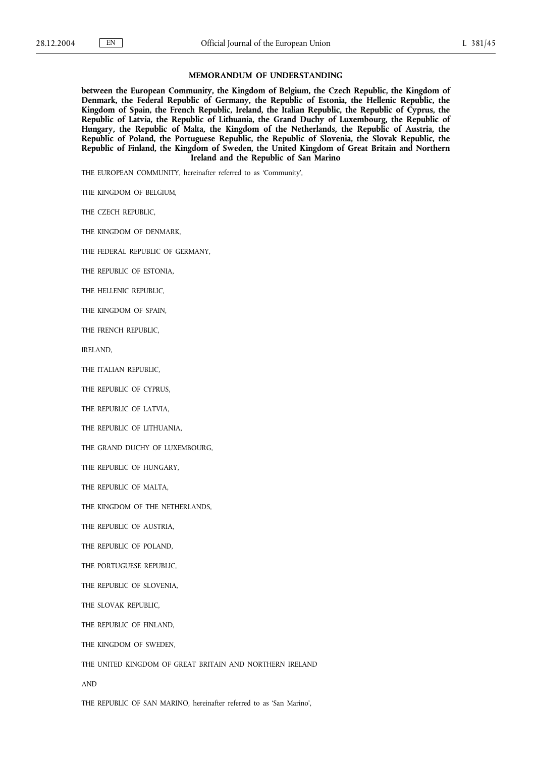## **MEMORANDUM OF UNDERSTANDING**

**between the European Community, the Kingdom of Belgium, the Czech Republic, the Kingdom of Denmark, the Federal Republic of Germany, the Republic of Estonia, the Hellenic Republic, the Kingdom of Spain, the French Republic, Ireland, the Italian Republic, the Republic of Cyprus, the Republic of Latvia, the Republic of Lithuania, the Grand Duchy of Luxembourg, the Republic of Hungary, the Republic of Malta, the Kingdom of the Netherlands, the Republic of Austria, the Republic of Poland, the Portuguese Republic, the Republic of Slovenia, the Slovak Republic, the Republic of Finland, the Kingdom of Sweden, the United Kingdom of Great Britain and Northern Ireland and the Republic of San Marino**

THE EUROPEAN COMMUNITY, hereinafter referred to as 'Community',

THE KINGDOM OF BELGIUM,

THE CZECH REPUBLIC,

THE KINGDOM OF DENMARK,

THE FEDERAL REPUBLIC OF GERMANY,

THE REPUBLIC OF ESTONIA,

THE HELLENIC REPUBLIC,

THE KINGDOM OF SPAIN,

THE FRENCH REPUBLIC,

IRELAND,

THE ITALIAN REPUBLIC,

THE REPUBLIC OF CYPRUS,

THE REPUBLIC OF LATVIA,

THE REPUBLIC OF LITHUANIA,

THE GRAND DUCHY OF LUXEMBOURG,

THE REPUBLIC OF HUNGARY,

THE REPUBLIC OF MALTA,

THE KINGDOM OF THE NETHERLANDS,

THE REPUBLIC OF AUSTRIA,

THE REPUBLIC OF POLAND,

THE PORTUGUESE REPUBLIC,

THE REPUBLIC OF SLOVENIA,

THE SLOVAK REPUBLIC,

THE REPUBLIC OF FINLAND,

THE KINGDOM OF SWEDEN,

THE UNITED KINGDOM OF GREAT BRITAIN AND NORTHERN IRELAND

AND

THE REPUBLIC OF SAN MARINO, hereinafter referred to as 'San Marino',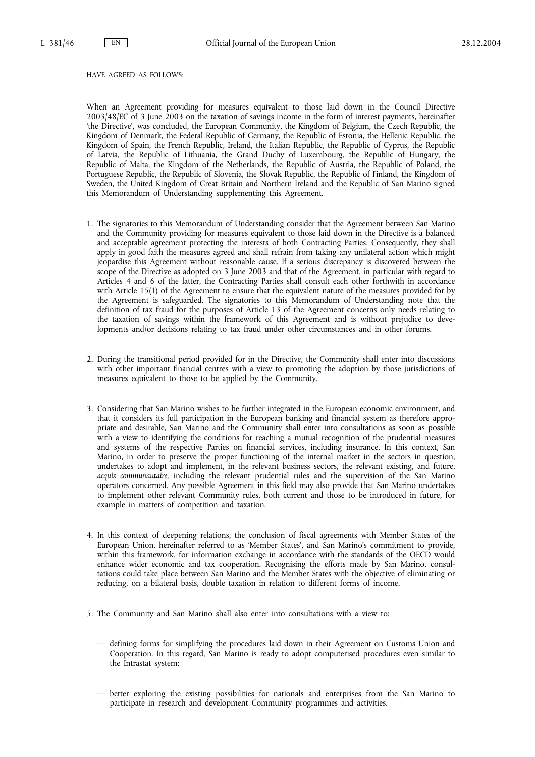## HAVE AGREED AS FOLLOWS:

When an Agreement providing for measures equivalent to those laid down in the Council Directive 2003/48/EC of 3 June 2003 on the taxation of savings income in the form of interest payments, hereinafter 'the Directive', was concluded, the European Community, the Kingdom of Belgium, the Czech Republic, the Kingdom of Denmark, the Federal Republic of Germany, the Republic of Estonia, the Hellenic Republic, the Kingdom of Spain, the French Republic, Ireland, the Italian Republic, the Republic of Cyprus, the Republic of Latvia, the Republic of Lithuania, the Grand Duchy of Luxembourg, the Republic of Hungary, the Republic of Malta, the Kingdom of the Netherlands, the Republic of Austria, the Republic of Poland, the Portuguese Republic, the Republic of Slovenia, the Slovak Republic, the Republic of Finland, the Kingdom of Sweden, the United Kingdom of Great Britain and Northern Ireland and the Republic of San Marino signed this Memorandum of Understanding supplementing this Agreement.

- 1. The signatories to this Memorandum of Understanding consider that the Agreement between San Marino and the Community providing for measures equivalent to those laid down in the Directive is a balanced and acceptable agreement protecting the interests of both Contracting Parties. Consequently, they shall apply in good faith the measures agreed and shall refrain from taking any unilateral action which might jeopardise this Agreement without reasonable cause. If a serious discrepancy is discovered between the scope of the Directive as adopted on 3 June 2003 and that of the Agreement, in particular with regard to Articles 4 and 6 of the latter, the Contracting Parties shall consult each other forthwith in accordance with Article 15(1) of the Agreement to ensure that the equivalent nature of the measures provided for by the Agreement is safeguarded. The signatories to this Memorandum of Understanding note that the definition of tax fraud for the purposes of Article 13 of the Agreement concerns only needs relating to the taxation of savings within the framework of this Agreement and is without prejudice to developments and/or decisions relating to tax fraud under other circumstances and in other forums.
- 2. During the transitional period provided for in the Directive, the Community shall enter into discussions with other important financial centres with a view to promoting the adoption by those jurisdictions of measures equivalent to those to be applied by the Community.
- 3. Considering that San Marino wishes to be further integrated in the European economic environment, and that it considers its full participation in the European banking and financial system as therefore appropriate and desirable, San Marino and the Community shall enter into consultations as soon as possible with a view to identifying the conditions for reaching a mutual recognition of the prudential measures and systems of the respective Parties on financial services, including insurance. In this context, San Marino, in order to preserve the proper functioning of the internal market in the sectors in question, undertakes to adopt and implement, in the relevant business sectors, the relevant existing, and future, *acquis communautaire,* including the relevant prudential rules and the supervision of the San Marino operators concerned. Any possible Agreement in this field may also provide that San Marino undertakes to implement other relevant Community rules, both current and those to be introduced in future, for example in matters of competition and taxation.
- 4. In this context of deepening relations, the conclusion of fiscal agreements with Member States of the European Union, hereinafter referred to as 'Member States', and San Marino's commitment to provide, within this framework, for information exchange in accordance with the standards of the OECD would enhance wider economic and tax cooperation. Recognising the efforts made by San Marino, consultations could take place between San Marino and the Member States with the objective of eliminating or reducing, on a bilateral basis, double taxation in relation to different forms of income.
- 5. The Community and San Marino shall also enter into consultations with a view to:
	- defining forms for simplifying the procedures laid down in their Agreement on Customs Union and Cooperation. In this regard, San Marino is ready to adopt computerised procedures even similar to the Intrastat system;
	- better exploring the existing possibilities for nationals and enterprises from the San Marino to participate in research and development Community programmes and activities.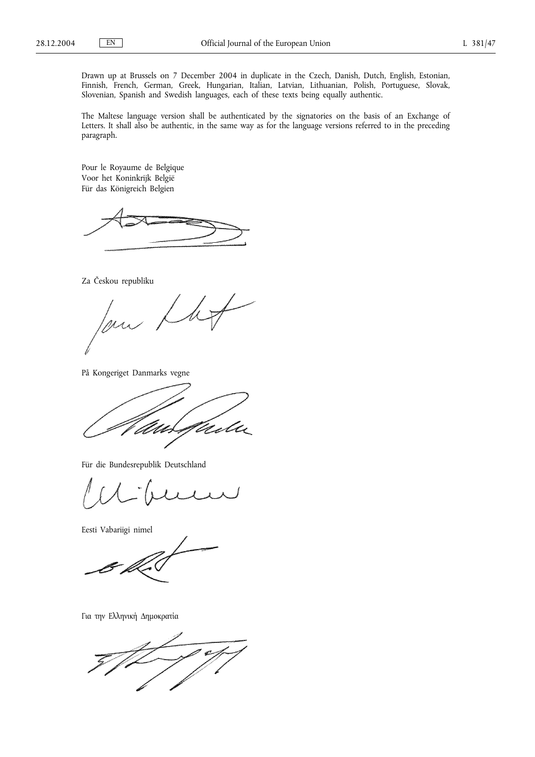Drawn up at Brussels on 7 December 2004 in duplicate in the Czech, Danish, Dutch, English, Estonian, Finnish, French, German, Greek, Hungarian, Italian, Latvian, Lithuanian, Polish, Portuguese, Slovak, Slovenian, Spanish and Swedish languages, each of these texts being equally authentic.

The Maltese language version shall be authenticated by the signatories on the basis of an Exchange of Letters. It shall also be authentic, in the same way as for the language versions referred to in the preceding paragraph.

Pour le Royaume de Belgique Voor het Koninkrijk België Für das Königreich Belgien

Za Českou republiku

low Lho

På Kongeriget Danmarks vegne

telu

Für die Bundesrepublik Deutschland

Eesti Vabariigi nimel

Για την Ελληνική Δημοκρατία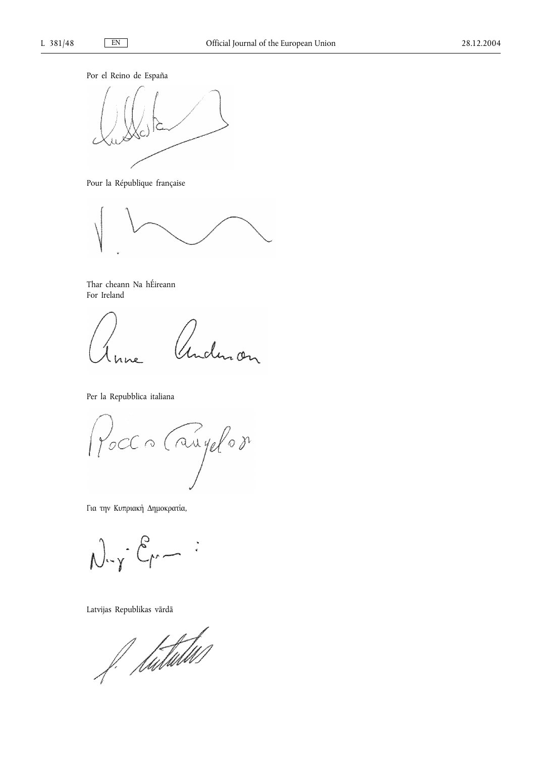Por el Reino de España



Pour la République française



Thar cheann Na hÉireann For Ireland

Inderson

Per la Repubblica italiana

Pocco Caugelor

Για την Κυπριακή Δημοκρατία,

 $N - Y - E -$ 

Latvijas Republikas vārdā

f. hutubw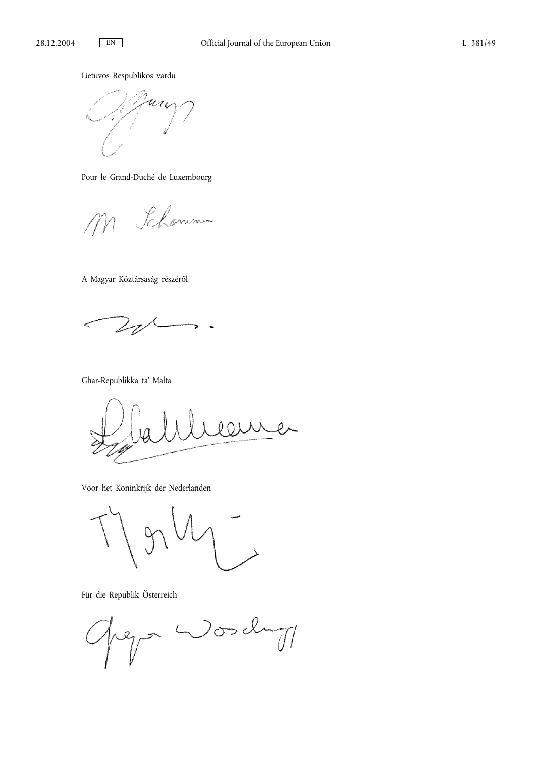Lietuvos Respublikos vardu



Pour le Grand-Duché de Luxembourg

Khomme

A Magyar Köztársaság részéről

 $\leq$ i,

Għar-Republikka ta' Malta

 $\hat{0}$ 

Voor het Koninkrijk der Nederlanden

Für die Republik Österreich

 $W$ osch rep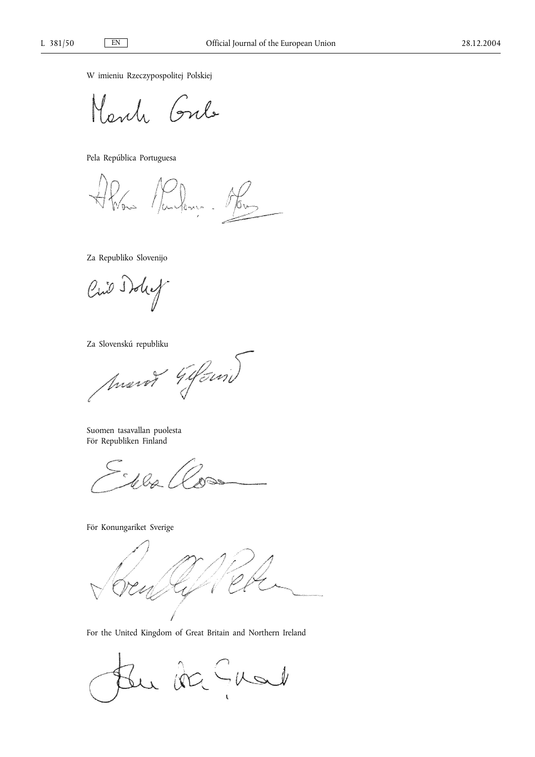W imieniu Rzeczypospolitej Polskiej

and Gul

Pela República Portuguesa

Penn. Abos  $\frac{1}{k}$ 

Za Republiko Slovenijo

Cino Iday

Za Slovenskú republiku<br>*Anarot 44 Svni)* 

Suomen tasavallan puolesta För Republiken Finland

l ba

För Konungariket Sverige

For the United Kingdom of Great Britain and Northern Ireland

Bu da Guad